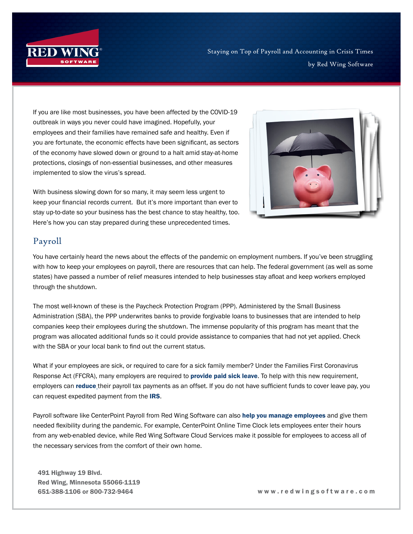

If you are like most businesses, you have been affected by the COVID-19 outbreak in ways you never could have imagined. Hopefully, your employees and their families have remained safe and healthy. Even if you are fortunate, the economic effects have been significant, as sectors of the economy have slowed down or ground to a halt amid stay-at-home protections, closings of non-essential businesses, and other measures implemented to slow the virus's spread.

With business slowing down for so many, it may seem less urgent to keep your financial records current. But it's more important than ever to stay up-to-date so your business has the best chance to stay healthy, too. Here's how you can stay prepared during these unprecedented times.



## Payroll

You have certainly heard the news about the effects of the pandemic on employment numbers. If you've been struggling with how to keep your employees on payroll, there are resources that can help. The federal government (as well as some states) have passed a number of relief measures intended to help businesses stay afloat and keep workers employed through the shutdown.

The most well-known of these is the Paycheck Protection Program (PPP). Administered by the Small Business Administration (SBA), the PPP underwrites banks to provide forgivable loans to businesses that are intended to help companies keep their employees during the shutdown. The immense popularity of this program has meant that the program was allocated additional funds so it could provide assistance to companies that had not yet applied. Check with the SBA or your local bank to find out the current status.

What if your employees are sick, or required to care for a sick family member? Under the Families First Coronavirus Response Act (FFCRA), many employers are required to **[provide paid sick leave](https://www.dol.gov/agencies/whd/pandemic/ffcra-employer-paid-leave)**. To help with this new requirement, employers can [reduce](https://www.irs.gov/newsroom/covid-19-related-tax-credits-for-required-paid-leave-provided-by-small-and-midsize-businesses-faqs) their payroll tax payments as an offset. If you do not have sufficient funds to cover leave pay, you can request expedited payment from the [IRS](https://www.irs.gov/forms-pubs/about-form-7200).

Payroll software like CenterPoint Payroll from Red Wing Software can also [help you manage employees](http://www.redwingsoftware.com/blog/post/2020/04/14/covid-19-pandemic-how-can-red-wing-software-help-you) and give them needed flexibility during the pandemic. For example, CenterPoint Online Time Clock lets employees enter their hours from any web-enabled device, while Red Wing Software Cloud Services make it possible for employees to access all of the necessary services from the comfort of their own home.

491 Highway 19 Blvd. Red Wing, Minnesota 55066-1119

651-388-1106 or 800-732-9464 w w w . r e d w i n g s o f t w a r e . c o m